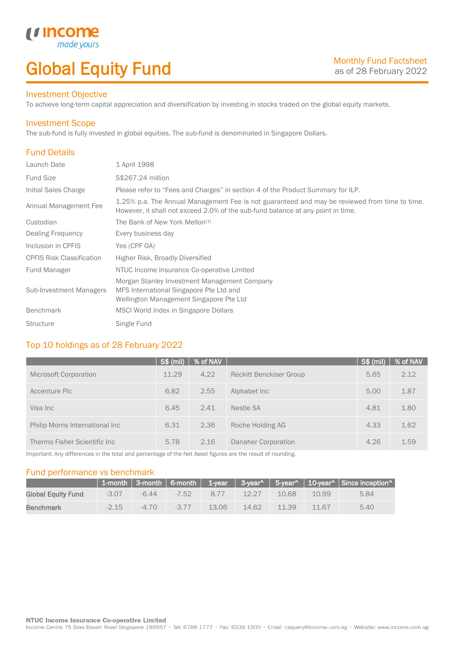# Global Equity Fund

### Investment Objective

made<sub>1</sub>

*u* incon

To achieve long-term capital appreciation and diversification by investing in stocks traded on the global equity markets.

### Investment Scope

The sub-fund is fully invested in global equities. The sub-fund is denominated in Singapore Dollars.

# Fund Details

I

| Launch Date                      | 1 April 1998                                                                                                                                                                     |
|----------------------------------|----------------------------------------------------------------------------------------------------------------------------------------------------------------------------------|
| Fund Size                        | S\$267.24 million                                                                                                                                                                |
| Initial Sales Charge             | Please refer to "Fees and Charges" in section 4 of the Product Summary for ILP.                                                                                                  |
| Annual Management Fee            | 1.25% p.a. The Annual Management Fee is not guaranteed and may be reviewed from time to time.<br>However, it shall not exceed 2.0% of the sub-fund balance at any point in time. |
| Custodian                        | The Bank of New York Mellon <sup>[1]</sup>                                                                                                                                       |
| Dealing Frequency                | Every business day                                                                                                                                                               |
| Inclusion in CPFIS               | Yes (CPF OA)                                                                                                                                                                     |
| <b>CPFIS Risk Classification</b> | Higher Risk, Broadly Diversified                                                                                                                                                 |
| <b>Fund Manager</b>              | NTUC Income Insurance Co-operative Limited                                                                                                                                       |
| Sub-Investment Managers          | Morgan Stanley Investment Management Company<br>MFS International Singapore Pte Ltd and<br>Wellington Management Singapore Pte Ltd                                               |
| <b>Benchmark</b>                 | MSCI World Index in Singapore Dollars                                                                                                                                            |
| <b>Structure</b>                 | Single Fund                                                                                                                                                                      |

# Top 10 holdings as of 28 February 2022

|                                 | $S$ \$ (mil) | % of NAV |                                | $S$ \$ (mil) | % of NAV |
|---------------------------------|--------------|----------|--------------------------------|--------------|----------|
| <b>Microsoft Corporation</b>    | 11.29        | 4.22     | <b>Reckitt Benckiser Group</b> | 5.65         | 2.12     |
| Accenture Plc                   | 6.82         | 2.55     | Alphabet Inc.                  | 5.00         | 1.87     |
| Visa Inc                        | 6.45         | 2.41     | Nestle SA                      | 4.81         | 1.80     |
| Philip Morris International Inc | 6.31         | 2.36     | Roche Holding AG               | 4.33         | 1.62     |
| Thermo Fisher Scientific Inc    | 5.78         | 2.16     | Danaher Corporation            | 4.26         | 1.59     |

Important: Any differences in the total and percentage of the Net Asset figures are the result of rounding.

## Fund performance vs benchmark

|                           |         |        |         |      |       |       |       | 1-month   3-month   6-month   1-year   3-year^   5-year^   10-year^   Since inception^ |
|---------------------------|---------|--------|---------|------|-------|-------|-------|----------------------------------------------------------------------------------------|
| <b>Global Equity Fund</b> | $-3.07$ | -6.44  | $-7.52$ | 8.77 | 12.27 | 10.68 | 10.99 | 5.84                                                                                   |
| <b>Benchmark</b>          | $-2.15$ | $-470$ | $-377$  | 1306 | 14.62 | 11.39 | 11.67 | 5.40                                                                                   |